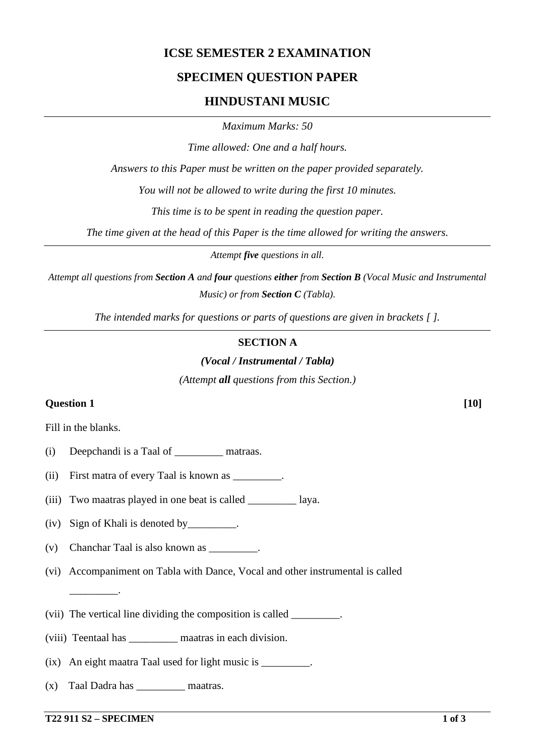# **ICSE SEMESTER 2 EXAMINATION**

## **SPECIMEN QUESTION PAPER**

## **HINDUSTANI MUSIC**

*Maximum Marks: 50*

*Time allowed: One and a half hours.*

*Answers to this Paper must be written on the paper provided separately.*

*You will not be allowed to write during the first 10 minutes.*

*This time is to be spent in reading the question paper.*

*The time given at the head of this Paper is the time allowed for writing the answers.*

*Attempt five questions in all.* 

*Attempt all questions from Section A and four questions either from Section B (Vocal Music and Instrumental Music) or from Section C (Tabla).*

*The intended marks for questions or parts of questions are given in brackets [ ].*

#### **SECTION A**

*(Vocal / Instrumental / Tabla)*

*(Attempt all questions from this Section.)*

#### **Question 1 [10]**

Fill in the blanks.

- (i) Deepchandi is a Taal of \_\_\_\_\_\_\_\_\_ matraas.
- (ii) First matra of every Taal is known as \_\_\_\_\_\_\_\_.
- (iii) Two maatras played in one beat is called \_\_\_\_\_\_\_\_\_ laya.
- (iv) Sign of Khali is denoted by\_\_\_\_\_\_\_\_\_.
- (v) Chanchar Taal is also known as \_\_\_\_\_\_\_\_\_.
- (vi) Accompaniment on Tabla with Dance, Vocal and other instrumental is called
- (vii) The vertical line dividing the composition is called \_\_\_\_\_\_\_\_\_.
- (viii) Teentaal has \_\_\_\_\_\_\_\_\_ maatras in each division.
- (ix) An eight maatra Taal used for light music is \_\_\_\_\_\_\_\_\_.
- (x) Taal Dadra has \_\_\_\_\_\_\_\_\_ maatras.

\_\_\_\_\_\_\_\_\_.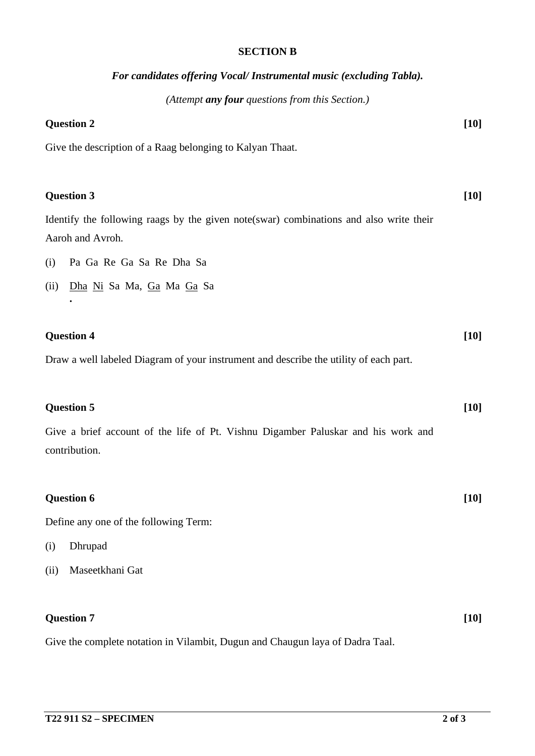### **SECTION B**

| For candidates offering Vocal/ Instrumental music (excluding Tabla).                                       |        |  |
|------------------------------------------------------------------------------------------------------------|--------|--|
| (Attempt any four questions from this Section.)                                                            |        |  |
| <b>Question 2</b>                                                                                          | $[10]$ |  |
| Give the description of a Raag belonging to Kalyan Thaat.                                                  |        |  |
|                                                                                                            |        |  |
| <b>Question 3</b>                                                                                          | $[10]$ |  |
| Identify the following raags by the given note(swar) combinations and also write their<br>Aaroh and Avroh. |        |  |
| Pa Ga Re Ga Sa Re Dha Sa<br>(i)                                                                            |        |  |
| Dha Ni Sa Ma, Ga Ma Ga Sa<br>(ii)                                                                          |        |  |
|                                                                                                            |        |  |
| <b>Question 4</b>                                                                                          | $[10]$ |  |
| Draw a well labeled Diagram of your instrument and describe the utility of each part.                      |        |  |
|                                                                                                            |        |  |
| <b>Question 5</b>                                                                                          | [10]   |  |
| Give a brief account of the life of Pt. Vishnu Digamber Paluskar and his work and                          |        |  |
| contribution.                                                                                              |        |  |
|                                                                                                            |        |  |
| <b>Question 6</b>                                                                                          | $[10]$ |  |
| Define any one of the following Term:                                                                      |        |  |
| Dhrupad<br>(i)                                                                                             |        |  |
| Maseetkhani Gat<br>(ii)                                                                                    |        |  |
|                                                                                                            |        |  |
| <b>Question 7</b><br>$[10]$                                                                                |        |  |
| Give the complete notation in Vilambit, Dugun and Chaugun laya of Dadra Taal.                              |        |  |